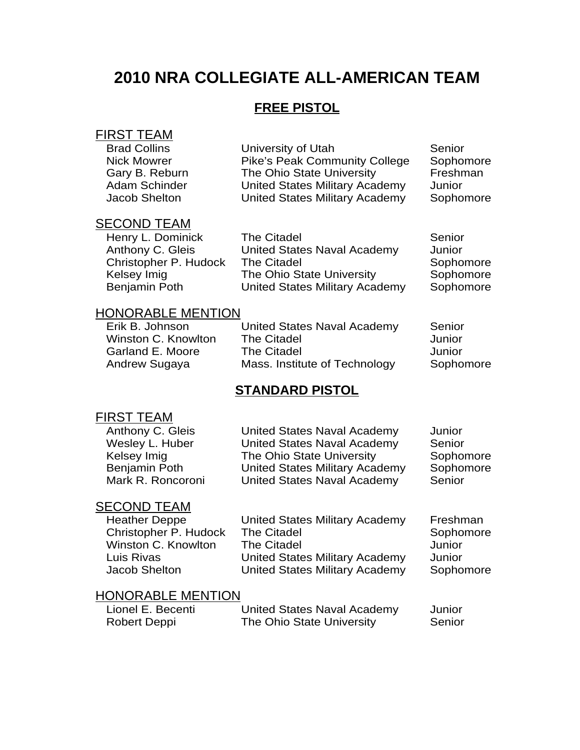# **2010 NRA COLLEGIATE ALL-AMERICAN TEAM**

# **FREE PISTOL**

# FIRST TEAM

| <b>Brad Collins</b>  | University of Utah                    | Senior    |
|----------------------|---------------------------------------|-----------|
| <b>Nick Mowrer</b>   | <b>Pike's Peak Community College</b>  | Sophomore |
| Gary B. Reburn       | The Ohio State University             | Freshman  |
| Adam Schinder        | <b>United States Military Academy</b> | Junior    |
| <b>Jacob Shelton</b> | <b>United States Military Academy</b> | Sophomore |
|                      |                                       |           |

#### SECOND TEAM

| Henry L. Dominick     | Τł |
|-----------------------|----|
| Anthony C. Gleis      | Uı |
| Christopher P. Hudock | Τł |
| Kelsey Imig           | Τł |
| Beniamin Poth         | Uı |

Henry L. Dominick The Citadel **Senior** Senior Anthony C. Gleis United States Naval Academy Junior Christopher P. Hudock The Citadel Sophomore Kelsey Imig The Ohio State University Sophomore Benjamin Poth United States Military Academy Sophomore

### HONORABLE MENTION

| Erik B. Johnson     | United States Naval Academy   | Senior    |
|---------------------|-------------------------------|-----------|
| Winston C. Knowlton | <b>The Citadel</b>            | Junior    |
| Garland E. Moore    | <b>The Citadel</b>            | Junior    |
| Andrew Sugaya       | Mass. Institute of Technology | Sophomore |
|                     |                               |           |

### **STANDARD PISTOL**

## FIRST TEAM

| Anthony C. Gleis  | <b>United States Naval Academy</b> | Junior    |
|-------------------|------------------------------------|-----------|
| Wesley L. Huber   | United States Naval Academy        | Senior    |
| Kelsey Imig       | The Ohio State University          | Sophomore |
| Benjamin Poth     | United States Military Academy     | Sophomore |
| Mark R. Roncoroni | United States Naval Academy        | Senior    |
|                   |                                    |           |

#### SECOND TEAM

| <b>Heather Deppe</b>  |
|-----------------------|
| Christopher P. Hudock |
| Winston C. Knowlton   |
| Luis Rivas            |
| <b>Jacob Shelton</b>  |

United States Military Academy Freshman The Citadel Sophomore The Citadel **Junior** United States Military Academy Junior<br>United States Military Academy Sophomore United States Military Academy

#### HONORABLE MENTION

| Lionel E. Becenti | <b>United States Naval Academy</b> | Junior |
|-------------------|------------------------------------|--------|
| Robert Deppi      | The Ohio State University          | Senior |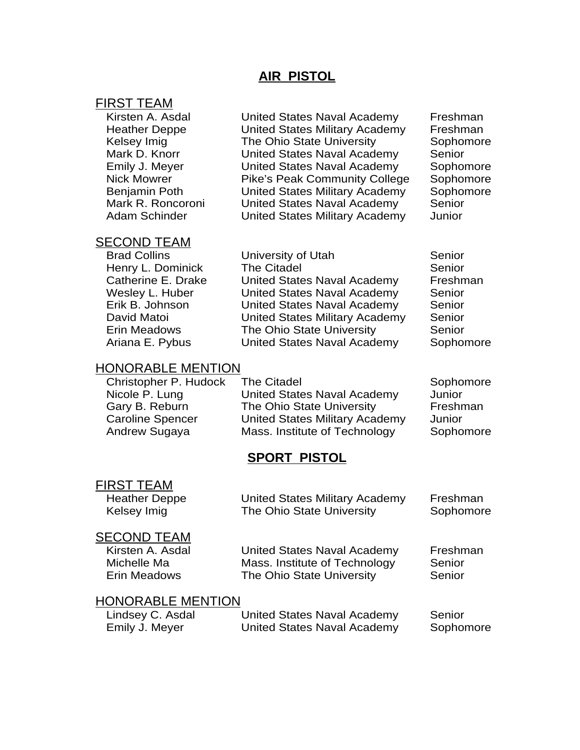## **AIR PISTOL**

#### FIRST TEAM

Kirsten A. Asdal **United States Naval Academy** Freshman Heather Deppe United States Military Academy Freshman Kelsey Imig **The Ohio State University** Sophomore Mark D. Knorr United States Naval Academy Senior Emily J. Meyer United States Naval Academy Sophomore Nick Mowrer Pike's Peak Community College Sophomore Benjamin Poth United States Military Academy Sophomore Mark R. Roncoroni United States Naval Academy Senior Adam Schinder United States Military Academy Junior

### SECOND TEAM

Brad Collins **Example 2** University of Utah Senior Henry L. Dominick The Citadel **Senior** Senior Catherine E. Drake United States Naval Academy Freshman Wesley L. Huber **United States Naval Academy** Senior Erik B. Johnson United States Naval Academy Senior David Matoi United States Military Academy Senior Erin Meadows The Ohio State University Senior Ariana E. Pybus United States Naval Academy Sophomore

### HONORABLE MENTION

Christopher P. Hudock The Citadel Sophomore Nicole P. Lung United States Naval Academy Junior Gary B. Reburn **The Ohio State University** Freshman Caroline Spencer United States Military Academy Junior Andrew Sugaya Mass. Institute of Technology Sophomore

# **SPORT PISTOL**

FIRST TEAM

Heather Deppe United States Military Academy Freshman Kelsey Imig **The Ohio State University** Sophomore

#### SECOND TEAM

Kirsten A. Asdal **United States Naval Academy** Freshman Michelle Ma **Mass.** Institute of Technology Senior Erin Meadows **The Ohio State University** Senior

# HONORABLE MENTION

| Lindsey C. Asdal | United States Naval Academy | Senior    |
|------------------|-----------------------------|-----------|
| Emily J. Meyer   | United States Naval Academy | Sophomore |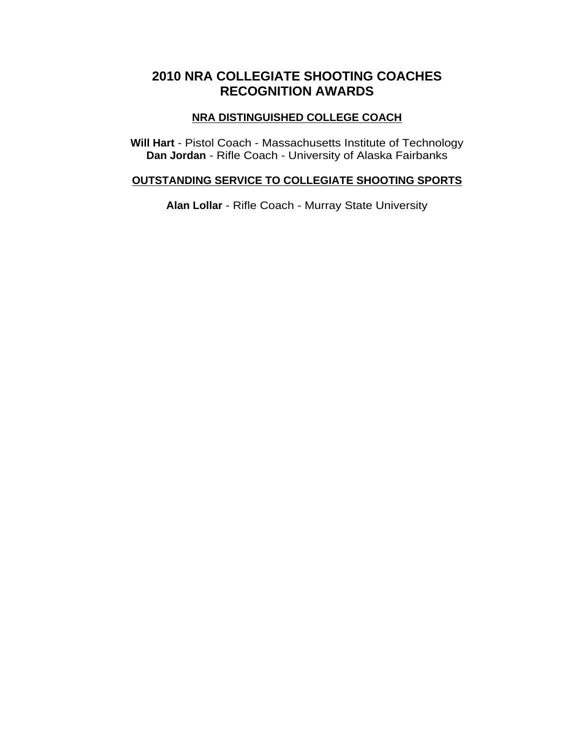# **2010 NRA COLLEGIATE SHOOTING COACHES RECOGNITION AWARDS**

## **NRA DISTINGUISHED COLLEGE COACH**

**Will Hart** - Pistol Coach - Massachusetts Institute of Technology **Dan Jordan** - Rifle Coach - University of Alaska Fairbanks

#### **OUTSTANDING SERVICE TO COLLEGIATE SHOOTING SPORTS**

**Alan Lollar** - Rifle Coach - Murray State University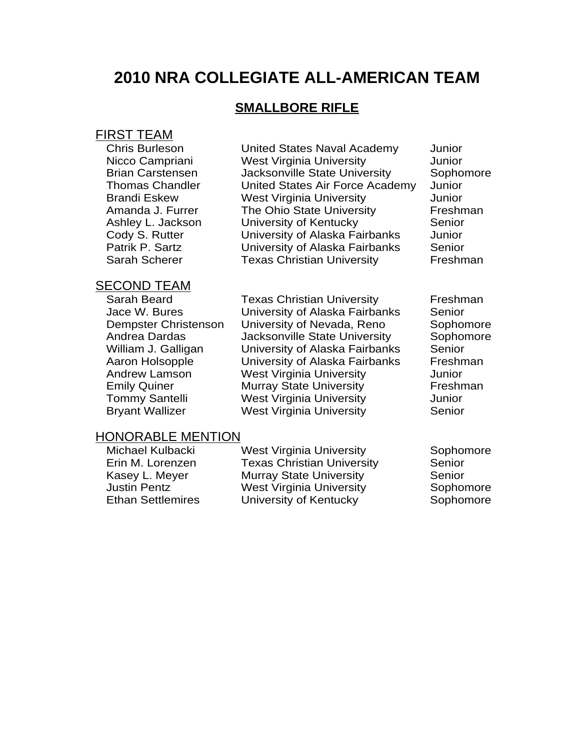# **2010 NRA COLLEGIATE ALL-AMERICAN TEAM**

## **SMALLBORE RIFLE**

# FIRST TEAM

Chris Burleson United States Naval Academy Junior Nicco Campriani West Virginia University Junior Brian Carstensen Jacksonville State University Sophomore Thomas Chandler United States Air Force Academy Junior Brandi Eskew West Virginia University Junior Amanda J. Furrer The Ohio State University Freshman Ashley L. Jackson University of Kentucky Senior<br>
Codv S. Rutter Codv S. Rutter Codv S. Rutter University of Alaska Fairbanks Junior Patrik P. Sartz **University of Alaska Fairbanks** Senior Sarah Scherer **Texas Christian University** Freshman

#### SECOND TEAM

Sarah Beard **Texas Christian University** Freshman Jace W. Bures University of Alaska Fairbanks Senior Dempster Christenson University of Nevada, Reno Sophomore Andrea Dardas **Jacksonville State University** Sophomore William J. Galligan University of Alaska Fairbanks Senior Aaron Holsopple **University of Alaska Fairbanks** Freshman Andrew Lamson West Virginia University Junior Emily Quiner **Murray State University** Freshman Tommy Santelli West Virginia University Junior Bryant Wallizer **West Virginia University** Senior

#### HONORABLE MENTION

Michael Kulbacki West Virginia University Sophomore Erin M. Lorenzen Texas Christian University Senior Kasey L. Meyer **Murray State University** Senior Justin Pentz **Mest Virginia University** Sophomore<br>
Ethan Settlemires **Municial University of Kentucky** Sophomore University of Kentucky Sophomore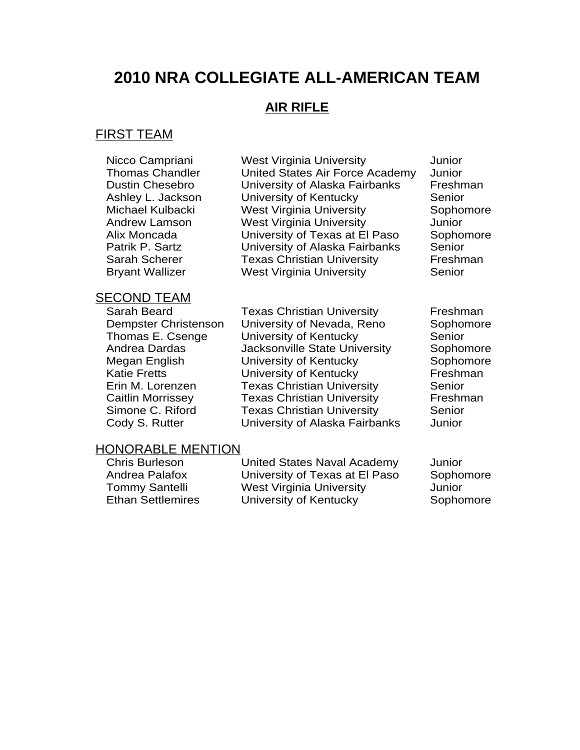# **2010 NRA COLLEGIATE ALL-AMERICAN TEAM**

# **AIR RIFLE**

## FIRST TEAM

Nicco Campriani West Virginia University Junior Thomas Chandler United States Air Force Academy Junior Dustin Chesebro University of Alaska Fairbanks Freshman Ashley L. Jackson University of Kentucky Senior Michael Kulbacki West Virginia University Sophomore Andrew Lamson West Virginia University Junior Alix Moncada University of Texas at El Paso Sophomore Patrik P. Sartz **University of Alaska Fairbanks** Senior Sarah Scherer **Texas Christian University** Freshman Bryant Wallizer West Virginia University Senior

#### SECOND TEAM

Sarah Beard Texas Christian University Freshman Dempster Christenson University of Nevada, Reno Sophomore Thomas E. Csenge University of Kentucky Senior Andrea Dardas **Jacksonville State University** Sophomore Megan English **University of Kentucky** Sophomore Katie Fretts **Electube Control Control Control** Creative Katie Freshman<br>
Erin M. Lorenzen Fexas Christian University Senior Texas Christian University Senior Caitlin Morrissey Texas Christian University Freshman Simone C. Riford Texas Christian University Senior Cody S. Rutter University of Alaska Fairbanks Junior

#### HONORABLE MENTION

Chris Burleson United States Naval Academy Junior Andrea Palafox University of Texas at El Paso Sophomore Tommy Santelli West Virginia University Junior Ethan Settlemires **University of Kentucky** Sophomore